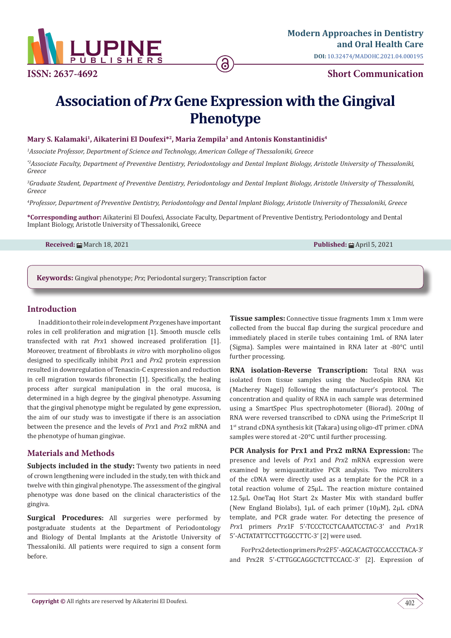

# **ISSN: 2637-4692 Short Communication**

# **Association of** *Prx* **Gene Expression with the Gingival Phenotype**

ခ

#### Mary S. Kalamaki<sup>1</sup>, Aikaterini El Doufexi<sup>\*2</sup>, Maria Zempila<sup>3</sup> and Antonis Konstantinidis<sup>4</sup>

*1 Associate Professor, Department of Science and Technology, American College of Thessaloniki, Greece*

*\*2Associate Faculty, Department of Preventive Dentistry, Periodontology and Dental Implant Biology, Aristotle University of Thessaloniki, Greece*

*3 Graduate Student, Department of Preventive Dentistry, Periodontology and Dental Implant Biology, Aristotle University of Thessaloniki, Greece*

*4 Professor, Department of Preventive Dentistry, Periodontology and Dental Implant Biology, Aristotle University of Thessaloniki, Greece*

**\*Corresponding author:** Aikaterini El Doufexi, Associate Faculty, Department of Preventive Dentistry, Periodontology and Dental Implant Biology, Aristotle University of Thessaloniki, Greece

**Received:** ■ March 18, 2021 **Published:** ■ April 5, 2021

**Keywords:** Gingival phenotype; *Prx*; Periodontal surgery; Transcription factor

#### **Introduction**

In addition to their role in development *Prx* genes have important roles in cell proliferation and migration [1]. Smooth muscle cells transfected with rat *Prx*1 showed increased proliferation [1]. Moreover, treatment of fibroblasts *in vitro* with morpholino oligos designed to specifically inhibit *Prx*1 and *Prx*2 protein expression resulted in downregulation of Tenascin-C expression and reduction in cell migration towards fibronectin [1]. Specifically, the healing process after surgical manipulation in the oral mucosa, is determined in a high degree by the gingival phenotype. Assuming that the gingival phenotype might be regulated by gene expression, the aim of our study was to investigate if there is an association between the presence and the levels of *Prx*1 and *Prx*2 mRNA and the phenotype of human gingivae.

## **Materials and Methods**

**Subjects included in the study:** Twenty two patients in need of crown lengthening were included in the study, ten with thick and twelve with thin gingival phenotype. The assessment of the gingival phenotype was done based on the clinical characteristics of the gingiva.

**Surgical Procedures:** All surgeries were performed by postgraduate students at the Department of Periodontology and Biology of Dental Implants at the Aristotle University of Thessaloniki. All patients were required to sign a consent form before.

**Tissue samples:** Connective tissue fragments 1mm x 1mm were collected from the buccal flap during the surgical procedure and immediately placed in sterile tubes containing 1mL of RNA later (Sigma). Samples were maintained in RNA later at -80°C until further processing.

**RNA isolation-Reverse Transcription:** Total RNA was isolated from tissue samples using the NucleoSpin RNA Kit (Macherey Nagel) following the manufacturer's protocol. The concentration and quality of RNA in each sample was determined using a SmartSpec Plus spectrophotometer (Biorad). 200ng of RNA were reversed transcribed to cDNA using the PrimeScript II 1st strand cDNA synthesis kit (Takara) using oligo-dT primer. cDNA samples were stored at -20°C until further processing.

**PCR Analysis for Prx1 and Prx2 mRNA Expression:** The presence and levels of *Prx*1 and *Prx*2 mRNA expression were examined by semiquantitative PCR analysis. Two microliters of the cDNA were directly used as a template for the PCR in a total reaction volume of 25μL. The reaction mixture contained 12.5μL OneTaq Hot Start 2x Master Mix with standard buffer (New England Biolabs), 1μL of each primer (10μM), 2μL cDNA template, and PCR grade water. For detecting the presence of *Prx*1 primers *Prx*1F 5'-TCCCTCCTCAAATCCTAC-3' and *Prx*1R 5'-ACTATATTCCTTGGCCTTC-3' [2] were used.

For Prx2 detection primers *Prx*2F 5'-AGCACAGTGCCACCCTACA-3' and Prx2R 5'-CTTGGCAGGCTCTTCCACC-3' [2]. Expression of

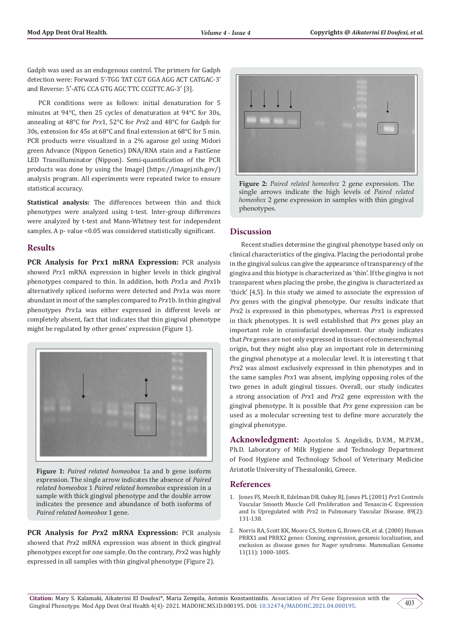Gadph was used as an endogenous control. The primers for Gadph detection were: Forward 5'-TGG TAT CGT GGA AGG ACT CATGAC-3' and Reverse: 5′-ATG CCA GTG AGC TTC CCGTTC AG-3′ [3].

PCR conditions were as follows: initial denaturation for 5 minutes at 94°C, then 25 cycles of denaturation at 94°C for 30s, annealing at 48°C for *Prx*1, 52°C for *Prx*2 and 48°C for Gadph for 30s, extension for 45s at 68°C and final extension at 68°C for 5 min. PCR products were visualized in a 2% agarose gel using Midori green Advance (Nippon Genetics) DNA/RNA stain and a FastGene LED Transilluminator (Nippon). Semi-quantification of the PCR products was done by using the ImageJ (https://imagej.nih.gov/) analysis program. All experiments were repeated twice to ensure statistical accuracy.

**Statistical analysis:** The differences between thin and thick phenotypes were analyzed using t-test. Inter-group differences were analyzed by t-test and Mann-Whitney test for independent samples. A p- value <0.05 was considered statistically significant.

# **Results**

**PCR Analysis for Prx1 mRNA Expression:** PCR analysis showed *Prx*1 mRNA expression in higher levels in thick gingival phenotypes compared to thin. In addition, both *Prx*1a and *Prx*1b alternatively spliced isoforms were detected and *Prx*1a was more abundant in most of the samples compared to *Prx*1b. In thin gingival phenotypes *Prx*1a was either expressed in different levels or completely absent, fact that indicates that thin gingival phenotype might be regulated by other genes' expression (Figure 1).



**Figure 1:** *Paired related homeobox* 1a and b gene isoform expression. The single arrow indicates the absence of *Paired related homeobox* 1 *Paired related homeobox* expression in a sample with thick gingival phenotype and the double arrow indicates the presence and abundance of both isoforms of *Paired related homeobox* 1 gene.

**PCR Analysis for** *Prx***2 mRNA Expression:** PCR analysis showed that *Prx*2 mRNA expression was absent in thick gingival phenotypes except for one sample. On the contrary, *Prx*2 was highly expressed in all samples with thin gingival phenotype (Figure 2).



**Figure 2:** *Paired related homeobox* 2 gene expression. The single arrows indicate the high levels of *Paired related homeobox* 2 gene expression in samples with thin gingival phenotypes.

# **Discussion**

Recent studies determine the gingival phenotype based only on clinical characteristics of the gingiva. Placing the periodontal probe in the gingival sulcus can give the appearance of transparency of the gingiva and this biotype is characterized as 'thin'. If the gingiva is not transparent when placing the probe, the gingiva is characterized as 'thick' [4,5]. In this study we aimed to associate the expression of *Prx* genes with the gingival phenotype. Our results indicate that *Prx*2 is expressed in thin phenotypes, whereas *Prx*1 is expressed in thick phenotypes. It is well established that *Prx* genes play an important role in craniofacial development. Our study indicates that *Prx* genes are not only expressed in tissues of ectomesenchymal origin, but they might also play an important role in determining the gingival phenotype at a molecular level. It is interesting t that *Prx*2 was almost exclusively expressed in thin phenotypes and in the same samples *Prx*1 was absent, implying opposing roles of the two genes in adult gingival tissues. Overall, our study indicates a strong association of *Prx*1 and *Prx*2 gene expression with the gingival phenotype. It is possible that *Prx* gene expression can be used as a molecular screening test to define more accurately the gingival phenotype.

**Acknowledgment:** Apostolos S. Angelidis, D.V.M., M.P.V.M., Ph.D. Laboratory of Milk Hygiene and Technology Department of Food Hygiene and Technology School of Veterinary Medicine Aristotle University of Thessaloniki, Greece.

## **References**

- 1. [Jones FS, Meech R, Edelman DB, Oakey RJ, Jones PL \(2001\)](https://pubmed.ncbi.nlm.nih.gov/11463719/) *Prx*1 Controls [Vascular Smooth Muscle Cell Proliferation and Tenascin-C Expression](https://pubmed.ncbi.nlm.nih.gov/11463719/) and Is Upregulated with *Prx*[2 in Pulmonary Vascular Disease. 89\(2\):](https://pubmed.ncbi.nlm.nih.gov/11463719/) [131-138.](https://pubmed.ncbi.nlm.nih.gov/11463719/)
- 2. [Norris RA, Scott KK, Moore CS, Stetten G, Brown CR, et al. \(2000\) Human](https://pubmed.ncbi.nlm.nih.gov/11063257/) [PRRX1 and PRRX2 genes: Cloning, expression, genomic localization, and](https://pubmed.ncbi.nlm.nih.gov/11063257/) [exclusion as disease genes for Nager syndrome. Mammalian Genome](https://pubmed.ncbi.nlm.nih.gov/11063257/) [11\(11\): 1000-1005.](https://pubmed.ncbi.nlm.nih.gov/11063257/)